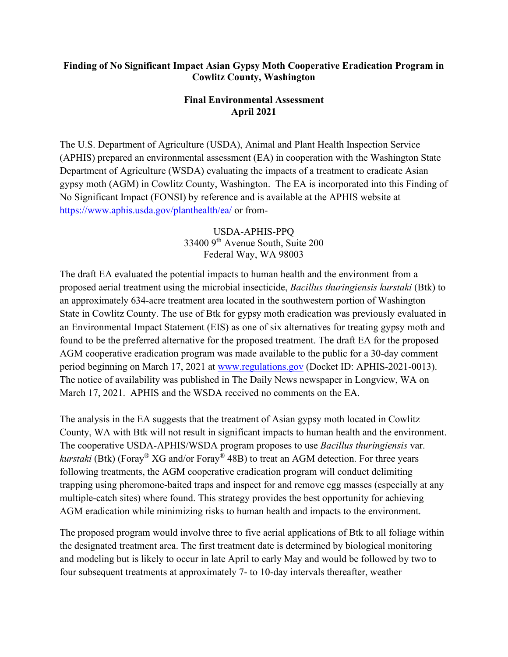## **Finding of No Significant Impact Asian Gypsy Moth Cooperative Eradication Program in Cowlitz County, Washington**

## **Final Environmental Assessment April 2021**

The U.S. Department of Agriculture (USDA), Animal and Plant Health Inspection Service (APHIS) prepared an environmental assessment (EA) in cooperation with the Washington State Department of Agriculture (WSDA) evaluating the impacts of a treatment to eradicate Asian gypsy moth (AGM) in Cowlitz County, Washington. The EA is incorporated into this Finding of No Significant Impact (FONSI) by reference and is available at the APHIS website at https://www.aphis.usda.gov/planthealth/ea/ or from-

> USDA-APHIS-PPQ 33400 9th Avenue South, Suite 200 Federal Way, WA 98003

The draft EA evaluated the potential impacts to human health and the environment from a proposed aerial treatment using the microbial insecticide, *Bacillus thuringiensis kurstaki* (Btk) to an approximately 634-acre treatment area located in the southwestern portion of Washington State in Cowlitz County. The use of Btk for gypsy moth eradication was previously evaluated in an Environmental Impact Statement (EIS) as one of six alternatives for treating gypsy moth and found to be the preferred alternative for the proposed treatment. The draft EA for the proposed AGM cooperative eradication program was made available to the public for a 30-day comment period beginning on March 17, 2021 at [www.regulations.gov](http://www.regulations.gov/) (Docket ID: APHIS-2021-0013). The notice of availability was published in The Daily News newspaper in Longview, WA on March 17, 2021. APHIS and the WSDA received no comments on the EA.

The analysis in the EA suggests that the treatment of Asian gypsy moth located in Cowlitz County, WA with Btk will not result in significant impacts to human health and the environment. The cooperative USDA-APHIS/WSDA program proposes to use *Bacillus thuringiensis* var. *kurstaki* (Btk) (Foray® XG and/or Foray® 48B) to treat an AGM detection. For three years following treatments, the AGM cooperative eradication program will conduct delimiting trapping using pheromone-baited traps and inspect for and remove egg masses (especially at any multiple-catch sites) where found. This strategy provides the best opportunity for achieving AGM eradication while minimizing risks to human health and impacts to the environment.

The proposed program would involve three to five aerial applications of Btk to all foliage within the designated treatment area. The first treatment date is determined by biological monitoring and modeling but is likely to occur in late April to early May and would be followed by two to four subsequent treatments at approximately 7- to 10-day intervals thereafter, weather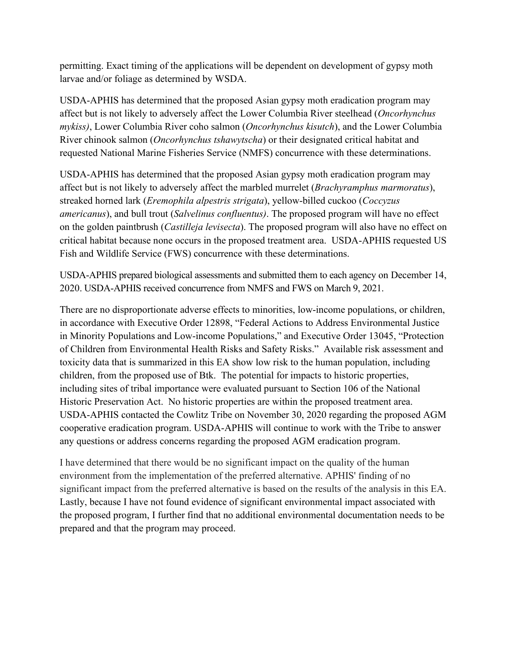permitting. Exact timing of the applications will be dependent on development of gypsy moth larvae and/or foliage as determined by WSDA.

USDA-APHIS has determined that the proposed Asian gypsy moth eradication program may affect but is not likely to adversely affect the Lower Columbia River steelhead (*Oncorhynchus mykiss)*, Lower Columbia River coho salmon (*Oncorhynchus kisutch*), and the Lower Columbia River chinook salmon (*Oncorhynchus tshawytscha*) or their designated critical habitat and requested National Marine Fisheries Service (NMFS) concurrence with these determinations.

USDA-APHIS has determined that the proposed Asian gypsy moth eradication program may affect but is not likely to adversely affect the marbled murrelet (*Brachyramphus marmoratus*), streaked horned lark (*Eremophila alpestris strigata*), yellow-billed cuckoo (*Coccyzus americanus*), and bull trout (*Salvelinus confluentus)*. The proposed program will have no effect on the golden paintbrush (*Castilleja levisecta*). The proposed program will also have no effect on critical habitat because none occurs in the proposed treatment area. USDA-APHIS requested US Fish and Wildlife Service (FWS) concurrence with these determinations.

USDA-APHIS prepared biological assessments and submitted them to each agency on December 14, 2020. USDA-APHIS received concurrence from NMFS and FWS on March 9, 2021.

There are no disproportionate adverse effects to minorities, low-income populations, or children, in accordance with Executive Order 12898, "Federal Actions to Address Environmental Justice in Minority Populations and Low-income Populations," and Executive Order 13045, "Protection of Children from Environmental Health Risks and Safety Risks." Available risk assessment and toxicity data that is summarized in this EA show low risk to the human population, including children, from the proposed use of Btk. The potential for impacts to historic properties, including sites of tribal importance were evaluated pursuant to Section 106 of the National Historic Preservation Act. No historic properties are within the proposed treatment area. USDA-APHIS contacted the Cowlitz Tribe on November 30, 2020 regarding the proposed AGM cooperative eradication program. USDA-APHIS will continue to work with the Tribe to answer any questions or address concerns regarding the proposed AGM eradication program.

I have determined that there would be no significant impact on the quality of the human environment from the implementation of the preferred alternative. APHIS' finding of no significant impact from the preferred alternative is based on the results of the analysis in this EA. Lastly, because I have not found evidence of significant environmental impact associated with the proposed program, I further find that no additional environmental documentation needs to be prepared and that the program may proceed.